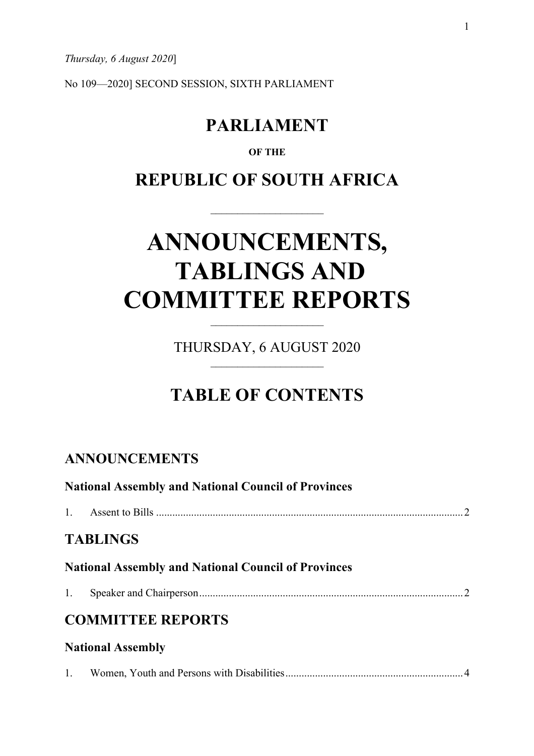*Thursday, 6 August 2020*]

No 109—2020] SECOND SESSION, SIXTH PARLIAMENT

## **PARLIAMENT**

### **OF THE**

## **REPUBLIC OF SOUTH AFRICA**

# **ANNOUNCEMENTS, TABLINGS AND COMMITTEE REPORTS**

THURSDAY, 6 AUGUST 2020

## **TABLE OF CONTENTS**

### **ANNOUNCEMENTS**

| <b>National Assembly and National Council of Provinces</b> |                          |  |  |  |
|------------------------------------------------------------|--------------------------|--|--|--|
|                                                            |                          |  |  |  |
|                                                            | <b>TABLINGS</b>          |  |  |  |
| <b>National Assembly and National Council of Provinces</b> |                          |  |  |  |
| 1.                                                         |                          |  |  |  |
| <b>COMMITTEE REPORTS</b>                                   |                          |  |  |  |
|                                                            | <b>National Assembly</b> |  |  |  |
|                                                            |                          |  |  |  |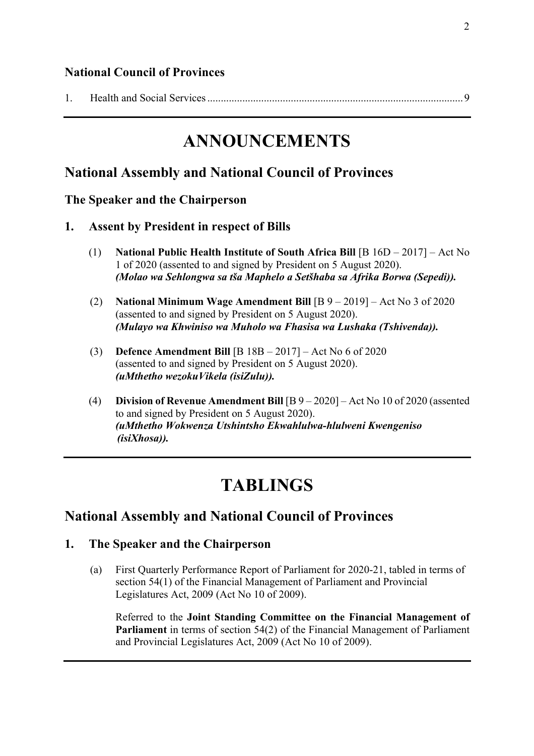### **National Council of Provinces**

|--|--|

## **ANNOUNCEMENTS**

### **National Assembly and National Council of Provinces**

**The Speaker and the Chairperson**

- **1. Assent by President in respect of Bills**
	- (1) **National Public Health Institute of South Africa Bill** [B 16D 2017] Act No 1 of 2020 (assented to and signed by President on 5 August 2020). *(Molao wa Sehlongwa sa tša Maphelo a Setšhaba sa Afrika Borwa (Sepedi)).*
	- (2) **National Minimum Wage Amendment Bill** [B 9 2019] Act No 3 of 2020 (assented to and signed by President on 5 August 2020). *(Mulayo wa Khwiniso wa Muholo wa Fhasisa wa Lushaka (Tshivenda)).*
	- (3) **Defence Amendment Bill** [B 18B 2017] Act No 6 of 2020 (assented to and signed by President on 5 August 2020). *(uMthetho wezokuVikela (isiZulu)).*
	- (4) **Division of Revenue Amendment Bill** [B 9 2020] Act No 10 of 2020 (assented to and signed by President on 5 August 2020). *(uMthetho Wokwenza Utshintsho Ekwahlulwa-hlulweni Kwengeniso (isiXhosa)).*

## **TABLINGS**

### **National Assembly and National Council of Provinces**

### **1. The Speaker and the Chairperson**

(a) First Quarterly Performance Report of Parliament for 2020-21, tabled in terms of section 54(1) of the Financial Management of Parliament and Provincial Legislatures Act, 2009 (Act No 10 of 2009).

Referred to the **Joint Standing Committee on the Financial Management of Parliament** in terms of section 54(2) of the Financial Management of Parliament and Provincial Legislatures Act, 2009 (Act No 10 of 2009).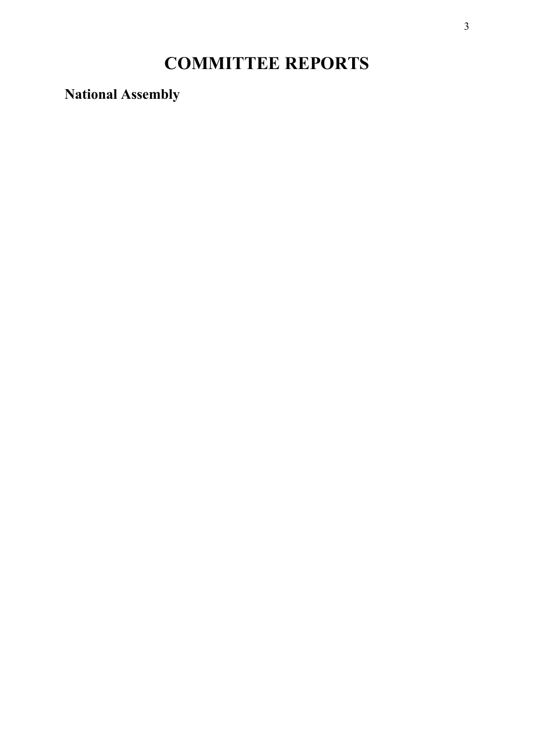## **COMMITTEE REPORTS**

**National Assembly**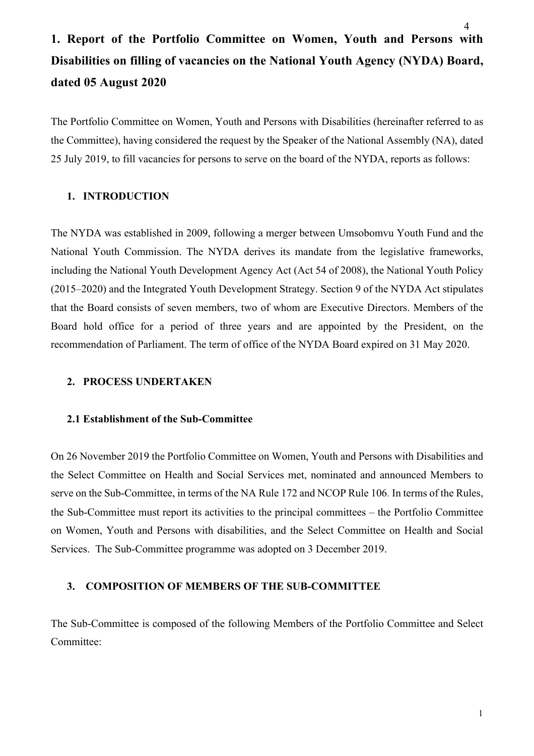## **1. Report of the Portfolio Committee on Women, Youth and Persons with Disabilities on filling of vacancies on the National Youth Agency (NYDA) Board, dated 05 August 2020**

The Portfolio Committee on Women, Youth and Persons with Disabilities (hereinafter referred to as the Committee), having considered the request by the Speaker of the National Assembly (NA), dated 25 July 2019, to fill vacancies for persons to serve on the board of the NYDA, reports as follows:

### **1. INTRODUCTION**

The NYDA was established in 2009, following a merger between Umsobomvu Youth Fund and the National Youth Commission. The NYDA derives its mandate from the legislative frameworks, including the National Youth Development Agency Act (Act 54 of 2008), the National Youth Policy (2015–2020) and the Integrated Youth Development Strategy. Section 9 of the NYDA Act stipulates that the Board consists of seven members, two of whom are Executive Directors. Members of the Board hold office for a period of three years and are appointed by the President, on the recommendation of Parliament. The term of office of the NYDA Board expired on 31 May 2020.

### **2. PROCESS UNDERTAKEN**

### **2.1 Establishment of the Sub-Committee**

On 26 November 2019 the Portfolio Committee on Women, Youth and Persons with Disabilities and the Select Committee on Health and Social Services met, nominated and announced Members to serve on the Sub-Committee, in terms of the NA Rule 172 and NCOP Rule 106. In terms of the Rules, the Sub-Committee must report its activities to the principal committees – the Portfolio Committee on Women, Youth and Persons with disabilities, and the Select Committee on Health and Social Services. The Sub-Committee programme was adopted on 3 December 2019.

### **3. COMPOSITION OF MEMBERS OF THE SUB-COMMITTEE**

The Sub-Committee is composed of the following Members of the Portfolio Committee and Select Committee: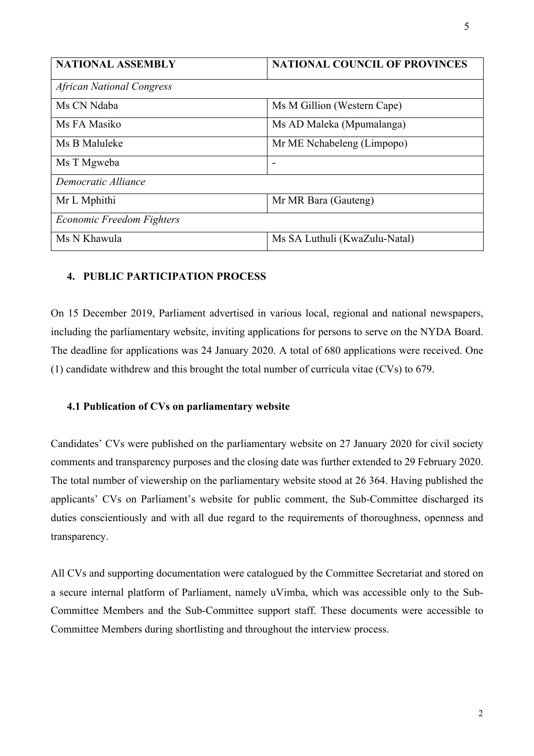| <b>NATIONAL ASSEMBLY</b>         | <b>NATIONAL COUNCIL OF PROVINCES</b> |  |  |  |
|----------------------------------|--------------------------------------|--|--|--|
| <b>African National Congress</b> |                                      |  |  |  |
| Ms CN Ndaba                      | Ms M Gillion (Western Cape)          |  |  |  |
| Ms FA Masiko                     | Ms AD Maleka (Mpumalanga)            |  |  |  |
| Ms B Maluleke                    | Mr ME Nchabeleng (Limpopo)           |  |  |  |
| Ms T Mgweba                      | $\overline{\phantom{a}}$             |  |  |  |
| Democratic Alliance              |                                      |  |  |  |
| Mr L Mphithi                     | Mr MR Bara (Gauteng)                 |  |  |  |
| <b>Economic Freedom Fighters</b> |                                      |  |  |  |
| Ms N Khawula                     | Ms SA Luthuli (KwaZulu-Natal)        |  |  |  |

### **4. PUBLIC PARTICIPATION PROCESS**

On 15 December 2019, Parliament advertised in various local, regional and national newspapers, including the parliamentary website, inviting applications for persons to serve on the NYDA Board. The deadline for applications was 24 January 2020. A total of 680 applications were received. One (1) candidate withdrew and this brought the total number of curricula vitae (CVs) to 679.

#### **4.1 Publication of CVs on parliamentary website**

Candidates' CVs were published on the parliamentary website on 27 January 2020 for civil society comments and transparency purposes and the closing date was further extended to 29 February 2020. The total number of viewership on the parliamentary website stood at 26 364. Having published the applicants' CVs on Parliament's website for public comment, the Sub-Committee discharged its duties conscientiously and with all due regard to the requirements of thoroughness, openness and transparency.

All CVs and supporting documentation were catalogued by the Committee Secretariat and stored on a secure internal platform of Parliament, namely uVimba, which was accessible only to the Sub-Committee Members and the Sub-Committee support staff. These documents were accessible to Committee Members during shortlisting and throughout the interview process.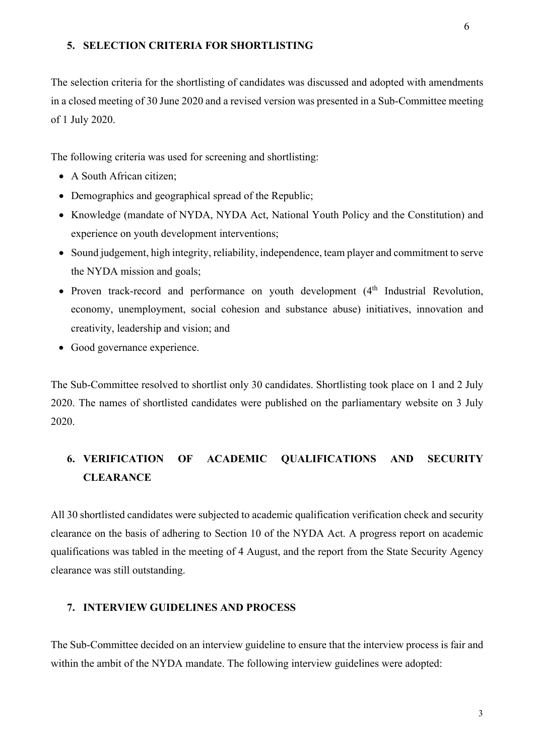#### **5. SELECTION CRITERIA FOR SHORTLISTING**

The selection criteria for the shortlisting of candidates was discussed and adopted with amendments in a closed meeting of 30 June 2020 and a revised version was presented in a Sub-Committee meeting of 1 July 2020.

The following criteria was used for screening and shortlisting:

- A South African citizen;
- Demographics and geographical spread of the Republic;
- Knowledge (mandate of NYDA, NYDA Act, National Youth Policy and the Constitution) and experience on youth development interventions;
- Sound judgement, high integrity, reliability, independence, team player and commitment to serve the NYDA mission and goals;
- Proven track-record and performance on youth development (4<sup>th</sup> Industrial Revolution, economy, unemployment, social cohesion and substance abuse) initiatives, innovation and creativity, leadership and vision; and
- Good governance experience.

The Sub-Committee resolved to shortlist only 30 candidates. Shortlisting took place on 1 and 2 July 2020. The names of shortlisted candidates were published on the parliamentary website on 3 July 2020.

### **6. VERIFICATION OF ACADEMIC QUALIFICATIONS AND SECURITY CLEARANCE**

All 30 shortlisted candidates were subjected to academic qualification verification check and security clearance on the basis of adhering to Section 10 of the NYDA Act. A progress report on academic qualifications was tabled in the meeting of 4 August, and the report from the State Security Agency clearance was still outstanding.

### **7. INTERVIEW GUIDELINES AND PROCESS**

The Sub-Committee decided on an interview guideline to ensure that the interview process is fair and within the ambit of the NYDA mandate. The following interview guidelines were adopted: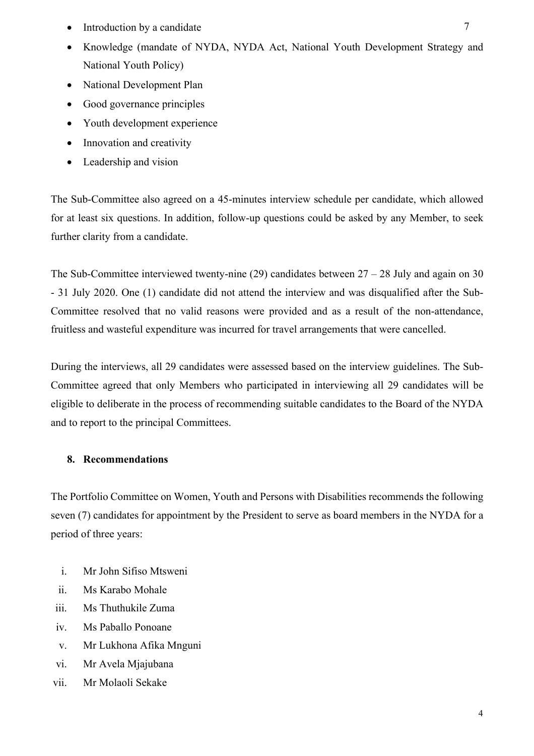- Introduction by a candidate
- Knowledge (mandate of NYDA, NYDA Act, National Youth Development Strategy and National Youth Policy)
- National Development Plan
- Good governance principles
- Youth development experience
- Innovation and creativity
- Leadership and vision

The Sub-Committee also agreed on a 45-minutes interview schedule per candidate, which allowed for at least six questions. In addition, follow-up questions could be asked by any Member, to seek further clarity from a candidate.

The Sub-Committee interviewed twenty-nine (29) candidates between  $27 - 28$  July and again on 30 - 31 July 2020. One (1) candidate did not attend the interview and was disqualified after the Sub-Committee resolved that no valid reasons were provided and as a result of the non-attendance, fruitless and wasteful expenditure was incurred for travel arrangements that were cancelled.

During the interviews, all 29 candidates were assessed based on the interview guidelines. The Sub-Committee agreed that only Members who participated in interviewing all 29 candidates will be eligible to deliberate in the process of recommending suitable candidates to the Board of the NYDA and to report to the principal Committees.

### **8. Recommendations**

The Portfolio Committee on Women, Youth and Persons with Disabilities recommends the following seven (7) candidates for appointment by the President to serve as board members in the NYDA for a period of three years:

- i. Mr John Sifiso Mtsweni
- ii. Ms Karabo Mohale
- iii. Ms Thuthukile Zuma
- iv. Ms Paballo Ponoane
- v. Mr Lukhona Afika Mnguni
- vi. Mr Avela Mjajubana
- vii. Mr Molaoli Sekake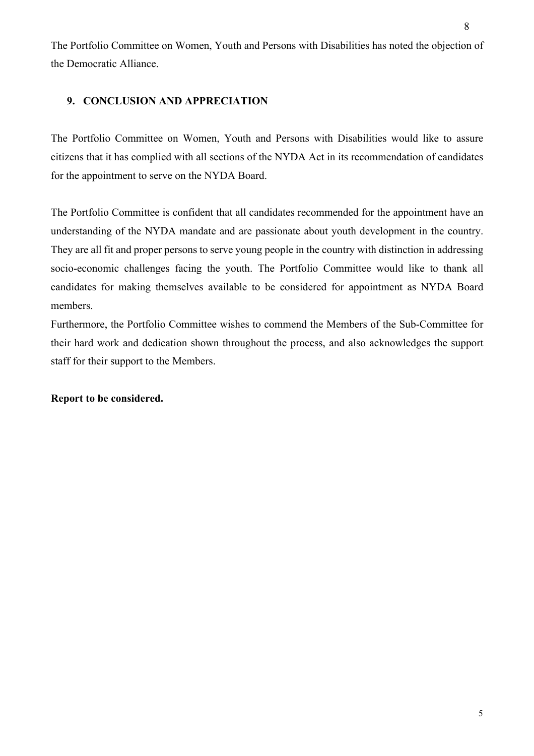The Portfolio Committee on Women, Youth and Persons with Disabilities has noted the objection of the Democratic Alliance.

### **9. CONCLUSION AND APPRECIATION**

The Portfolio Committee on Women, Youth and Persons with Disabilities would like to assure citizens that it has complied with all sections of the NYDA Act in its recommendation of candidates for the appointment to serve on the NYDA Board.

The Portfolio Committee is confident that all candidates recommended for the appointment have an understanding of the NYDA mandate and are passionate about youth development in the country. They are all fit and proper persons to serve young people in the country with distinction in addressing socio-economic challenges facing the youth. The Portfolio Committee would like to thank all candidates for making themselves available to be considered for appointment as NYDA Board members.

Furthermore, the Portfolio Committee wishes to commend the Members of the Sub-Committee for their hard work and dedication shown throughout the process, and also acknowledges the support staff for their support to the Members.

### **Report to be considered.**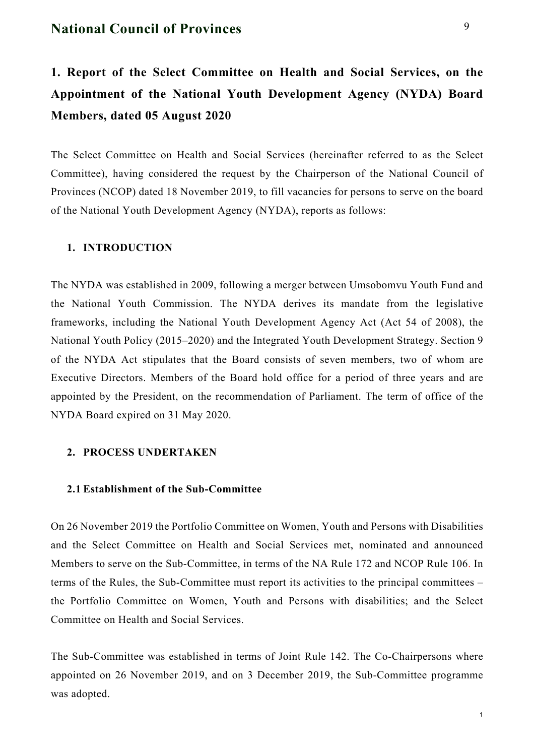### **National Council of Provinces**

**1. Report of the Select Committee on Health and Social Services, on the Appointment of the National Youth Development Agency (NYDA) Board Members, dated 05 August 2020**

The Select Committee on Health and Social Services (hereinafter referred to as the Select Committee), having considered the request by the Chairperson of the National Council of Provinces (NCOP) dated 18 November 2019, to fill vacancies for persons to serve on the board of the National Youth Development Agency (NYDA), reports as follows:

### **1. INTRODUCTION**

The NYDA was established in 2009, following a merger between Umsobomvu Youth Fund and the National Youth Commission. The NYDA derives its mandate from the legislative frameworks, including the National Youth Development Agency Act (Act 54 of 2008), the National Youth Policy (2015–2020) and the Integrated Youth Development Strategy. Section 9 of the NYDA Act stipulates that the Board consists of seven members, two of whom are Executive Directors. Members of the Board hold office for a period of three years and are appointed by the President, on the recommendation of Parliament. The term of office of the NYDA Board expired on 31 May 2020.

### **2. PROCESS UNDERTAKEN**

### **2.1 Establishment of the Sub-Committee**

On 26 November 2019 the Portfolio Committee on Women, Youth and Persons with Disabilities and the Select Committee on Health and Social Services met, nominated and announced Members to serve on the Sub-Committee, in terms of the NA Rule 172 and NCOP Rule 106. In terms of the Rules, the Sub-Committee must report its activities to the principal committees – the Portfolio Committee on Women, Youth and Persons with disabilities; and the Select Committee on Health and Social Services.

The Sub-Committee was established in terms of Joint Rule 142. The Co-Chairpersons where appointed on 26 November 2019, and on 3 December 2019, the Sub-Committee programme was adopted.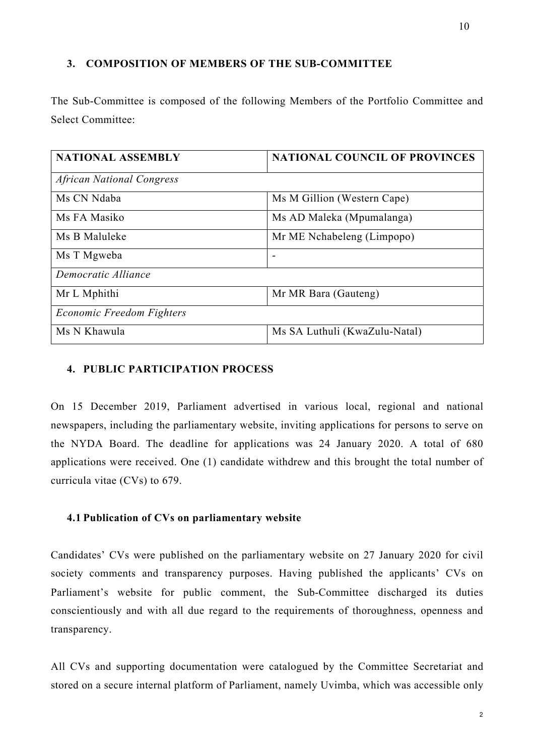### **3. COMPOSITION OF MEMBERS OF THE SUB-COMMITTEE**

The Sub-Committee is composed of the following Members of the Portfolio Committee and Select Committee:

| <b>NATIONAL ASSEMBLY</b>         | <b>NATIONAL COUNCIL OF PROVINCES</b> |  |  |
|----------------------------------|--------------------------------------|--|--|
| <b>African National Congress</b> |                                      |  |  |
| Ms CN Ndaba                      | Ms M Gillion (Western Cape)          |  |  |
| Ms FA Masiko                     | Ms AD Maleka (Mpumalanga)            |  |  |
| Ms B Maluleke                    | Mr ME Nchabeleng (Limpopo)           |  |  |
| Ms T Mgweba                      | $\overline{\phantom{a}}$             |  |  |
| Democratic Alliance              |                                      |  |  |
| Mr L Mphithi                     | Mr MR Bara (Gauteng)                 |  |  |
| Economic Freedom Fighters        |                                      |  |  |
| Ms N Khawula                     | Ms SA Luthuli (KwaZulu-Natal)        |  |  |

### **4. PUBLIC PARTICIPATION PROCESS**

On 15 December 2019, Parliament advertised in various local, regional and national newspapers, including the parliamentary website, inviting applications for persons to serve on the NYDA Board. The deadline for applications was 24 January 2020. A total of 680 applications were received. One (1) candidate withdrew and this brought the total number of curricula vitae (CVs) to 679.

#### **4.1 Publication of CVs on parliamentary website**

Candidates' CVs were published on the parliamentary website on 27 January 2020 for civil society comments and transparency purposes. Having published the applicants' CVs on Parliament's website for public comment, the Sub-Committee discharged its duties conscientiously and with all due regard to the requirements of thoroughness, openness and transparency.

All CVs and supporting documentation were catalogued by the Committee Secretariat and stored on a secure internal platform of Parliament, namely Uvimba, which was accessible only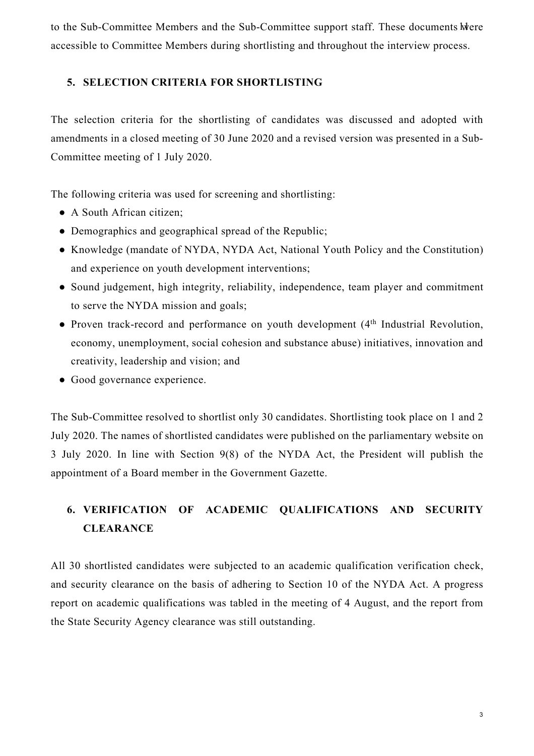to the Sub-Committee Members and the Sub-Committee support staff. These documents were accessible to Committee Members during shortlisting and throughout the interview process.

### **5. SELECTION CRITERIA FOR SHORTLISTING**

The selection criteria for the shortlisting of candidates was discussed and adopted with amendments in a closed meeting of 30 June 2020 and a revised version was presented in a Sub-Committee meeting of 1 July 2020.

The following criteria was used for screening and shortlisting:

- A South African citizen;
- Demographics and geographical spread of the Republic;
- Knowledge (mandate of NYDA, NYDA Act, National Youth Policy and the Constitution) and experience on youth development interventions;
- Sound judgement, high integrity, reliability, independence, team player and commitment to serve the NYDA mission and goals;
- Proven track-record and performance on youth development (4<sup>th</sup> Industrial Revolution, economy, unemployment, social cohesion and substance abuse) initiatives, innovation and creativity, leadership and vision; and
- Good governance experience.

The Sub-Committee resolved to shortlist only 30 candidates. Shortlisting took place on 1 and 2 July 2020. The names of shortlisted candidates were published on the parliamentary website on 3 July 2020. In line with Section 9(8) of the NYDA Act, the President will publish the appointment of a Board member in the Government Gazette.

### **6. VERIFICATION OF ACADEMIC QUALIFICATIONS AND SECURITY CLEARANCE**

All 30 shortlisted candidates were subjected to an academic qualification verification check, and security clearance on the basis of adhering to Section 10 of the NYDA Act. A progress report on academic qualifications was tabled in the meeting of 4 August, and the report from the State Security Agency clearance was still outstanding.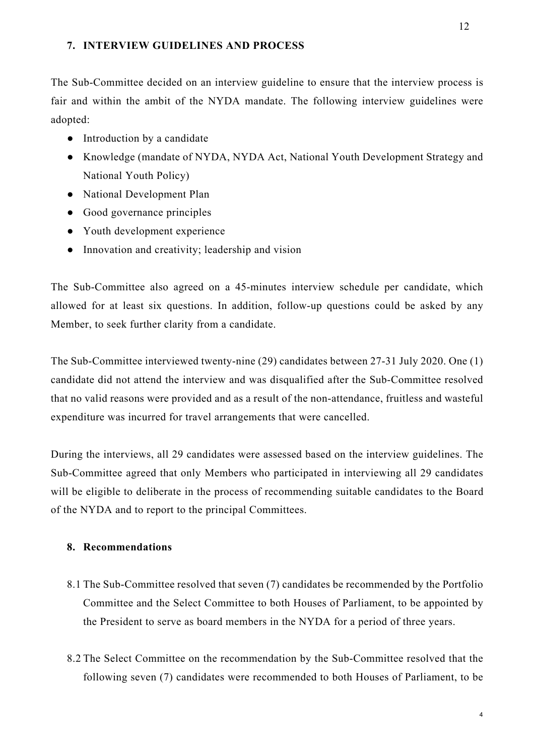#### **7. INTERVIEW GUIDELINES AND PROCESS**

The Sub-Committee decided on an interview guideline to ensure that the interview process is fair and within the ambit of the NYDA mandate. The following interview guidelines were adopted:

- Introduction by a candidate
- Knowledge (mandate of NYDA, NYDA Act, National Youth Development Strategy and National Youth Policy)
- National Development Plan
- Good governance principles
- Youth development experience
- Innovation and creativity; leadership and vision

The Sub-Committee also agreed on a 45-minutes interview schedule per candidate, which allowed for at least six questions. In addition, follow-up questions could be asked by any Member, to seek further clarity from a candidate.

The Sub-Committee interviewed twenty-nine (29) candidates between 27-31 July 2020. One (1) candidate did not attend the interview and was disqualified after the Sub-Committee resolved that no valid reasons were provided and as a result of the non-attendance, fruitless and wasteful expenditure was incurred for travel arrangements that were cancelled.

During the interviews, all 29 candidates were assessed based on the interview guidelines. The Sub-Committee agreed that only Members who participated in interviewing all 29 candidates will be eligible to deliberate in the process of recommending suitable candidates to the Board of the NYDA and to report to the principal Committees.

### **8. Recommendations**

- 8.1 The Sub-Committee resolved that seven (7) candidates be recommended by the Portfolio Committee and the Select Committee to both Houses of Parliament, to be appointed by the President to serve as board members in the NYDA for a period of three years.
- 8.2 The Select Committee on the recommendation by the Sub-Committee resolved that the following seven (7) candidates were recommended to both Houses of Parliament, to be